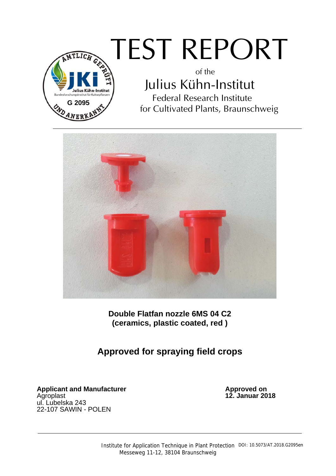

# TEST REPORT

of the Julius Kühn-Institut Federal Research Institute for Cultivated Plants, Braunschweig



**Double Flatfan nozzle 6MS 04 C2 (ceramics, plastic coated, red )** 

# **Approved for spraying field crops**

**Applicant and Manufacturer**<br>Agroplast ul. Lubelska 243 22-107 SAWIN - POLEN

Approved on<br>12. Januar 2018